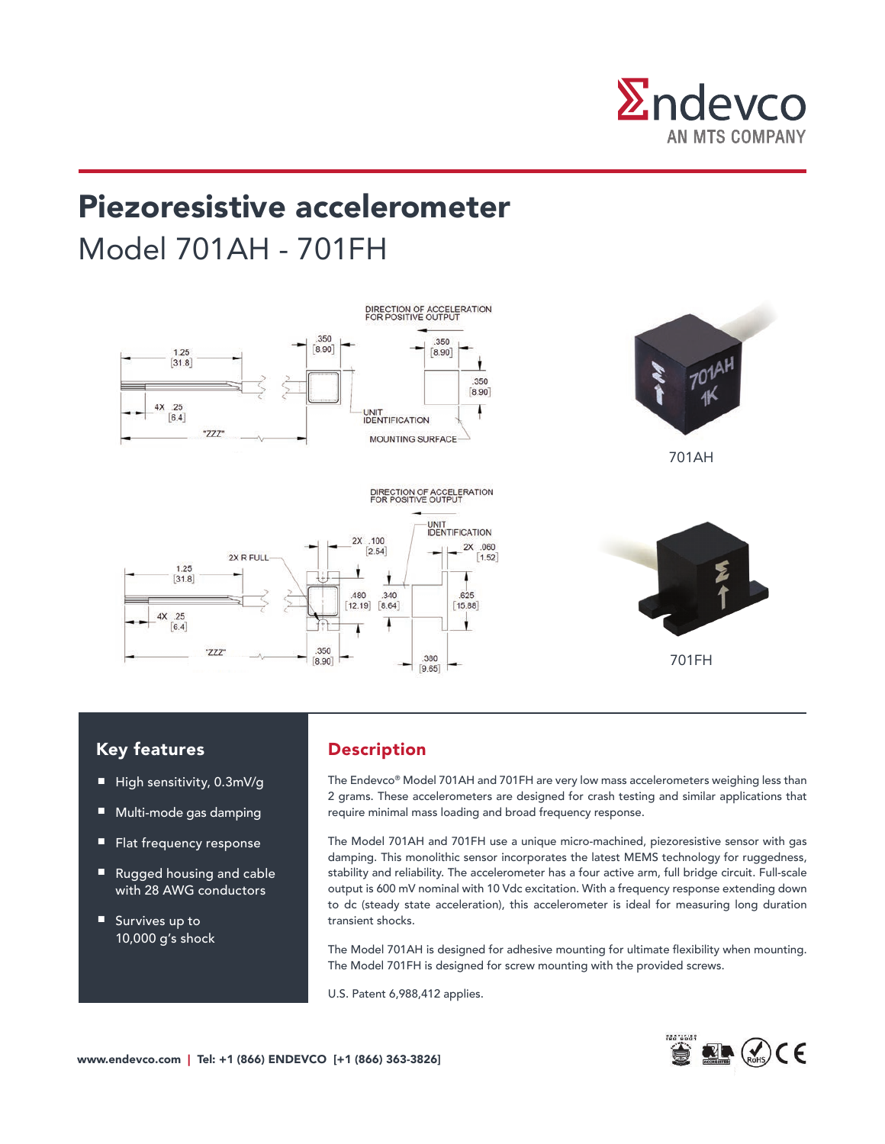

# Piezoresistive accelerometer Model 701AH - 701FH



### Key features

- High sensitivity, 0.3mV/g
- Multi-mode gas damping
- Flat frequency response
- Rugged housing and cable with 28 AWG conductors
- Survives up to 10,000 g's shock

### Description

The Endevco® Model 701AH and 701FH are very low mass accelerometers weighing less than 2 grams. These accelerometers are designed for crash testing and similar applications that require minimal mass loading and broad frequency response.

The Model 701AH and 701FH use a unique micro-machined, piezoresistive sensor with gas damping. This monolithic sensor incorporates the latest MEMS technology for ruggedness, stability and reliability. The accelerometer has a four active arm, full bridge circuit. Full-scale output is 600 mV nominal with 10 Vdc excitation. With a frequency response extending down to dc (steady state acceleration), this accelerometer is ideal for measuring long duration transient shocks.

The Model 701AH is designed for adhesive mounting for ultimate flexibility when mounting. The Model 701FH is designed for screw mounting with the provided screws.

U.S. Patent 6,988,412 applies.

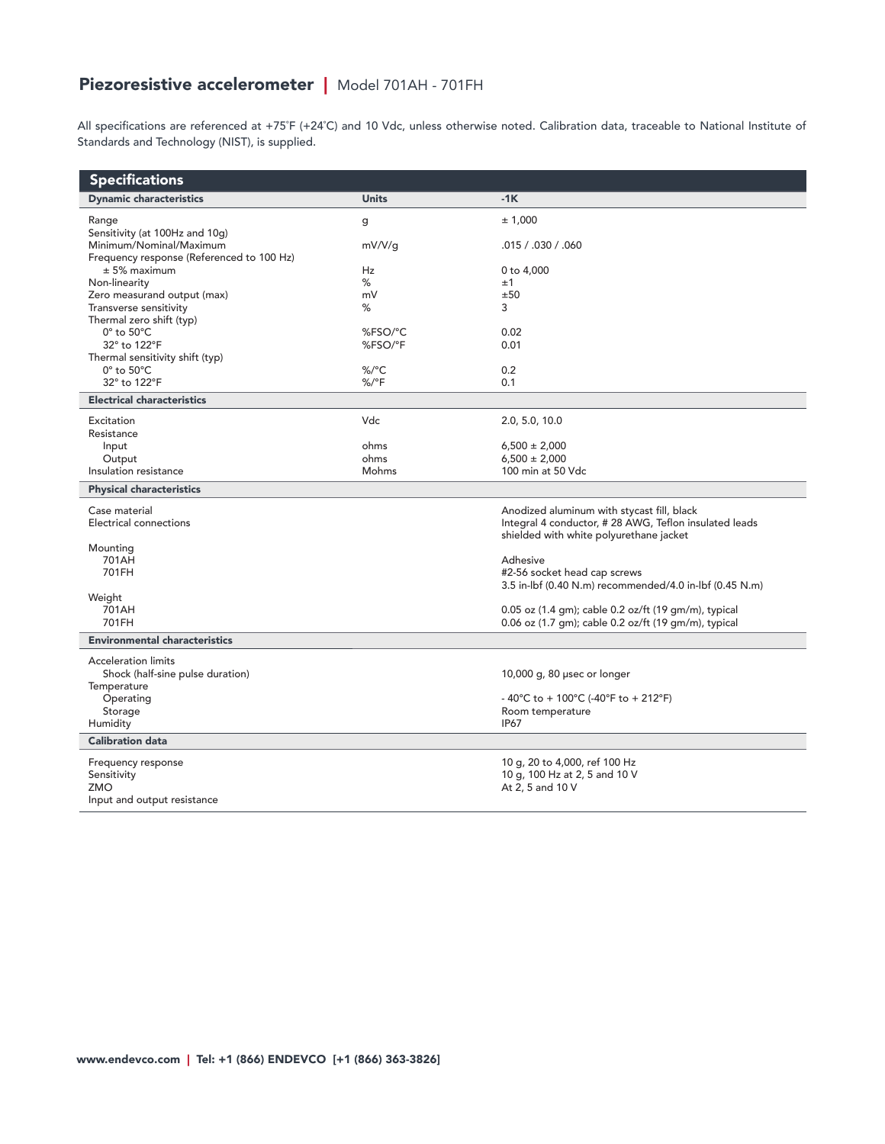## Piezoresistive accelerometer | Model 701AH - 701FH

All specifications are referenced at +75˚F (+24˚C) and 10 Vdc, unless otherwise noted. Calibration data, traceable to National Institute of Standards and Technology (NIST), is supplied.

| <b>Specifications</b>                                                |                    |                                                                                                  |
|----------------------------------------------------------------------|--------------------|--------------------------------------------------------------------------------------------------|
| <b>Dynamic characteristics</b>                                       | <b>Units</b>       | $-1K$                                                                                            |
| Range                                                                | $\mathsf g$        | ± 1,000                                                                                          |
| Sensitivity (at 100Hz and 10g)                                       |                    |                                                                                                  |
| Minimum/Nominal/Maximum<br>Frequency response (Referenced to 100 Hz) | mV/V/g             | .015 / .030 / .060                                                                               |
| $± 5%$ maximum                                                       | Hz                 | 0 to 4,000                                                                                       |
| Non-linearity                                                        | %                  | ±1                                                                                               |
| Zero measurand output (max)                                          | mV                 | ±50                                                                                              |
| Transverse sensitivity                                               | %                  | 3                                                                                                |
| Thermal zero shift (typ)                                             |                    |                                                                                                  |
| $0^\circ$ to $50^\circ$ C<br>32° to 122°F                            | %FSO/°C<br>%FSO/°F | 0.02<br>0.01                                                                                     |
| Thermal sensitivity shift (typ)                                      |                    |                                                                                                  |
| $0^\circ$ to $50^\circ$ C                                            | $\%$ /°C           | 0.2                                                                                              |
| 32° to 122°F                                                         | $\%$ / $\degree$ F | 0.1                                                                                              |
| <b>Electrical characteristics</b>                                    |                    |                                                                                                  |
| Excitation                                                           | Vdc                | 2.0, 5.0, 10.0                                                                                   |
| Resistance                                                           |                    |                                                                                                  |
| Input                                                                | ohms               | $6,500 \pm 2,000$                                                                                |
| Output                                                               | ohms               | $6,500 \pm 2,000$                                                                                |
| Insulation resistance                                                | Mohms              | 100 min at 50 Vdc                                                                                |
| <b>Physical characteristics</b>                                      |                    |                                                                                                  |
| Case material                                                        |                    | Anodized aluminum with stycast fill, black                                                       |
| <b>Electrical connections</b>                                        |                    | Integral 4 conductor, #28 AWG, Teflon insulated leads<br>shielded with white polyurethane jacket |
| Mounting                                                             |                    |                                                                                                  |
| 701AH                                                                |                    | Adhesive                                                                                         |
| 701FH                                                                |                    | #2-56 socket head cap screws<br>3.5 in-lbf (0.40 N.m) recommended/4.0 in-lbf (0.45 N.m)          |
| Weight                                                               |                    |                                                                                                  |
| 701AH                                                                |                    | 0.05 oz (1.4 gm); cable 0.2 oz/ft (19 gm/m), typical                                             |
| 701FH                                                                |                    | 0.06 oz (1.7 gm); cable 0.2 oz/ft (19 gm/m), typical                                             |
| <b>Environmental characteristics</b>                                 |                    |                                                                                                  |
| <b>Acceleration limits</b>                                           |                    |                                                                                                  |
| Shock (half-sine pulse duration)                                     |                    | 10,000 g, 80 $\mu$ sec or longer                                                                 |
| Temperature                                                          |                    |                                                                                                  |
| Operating                                                            |                    | - 40°C to + 100°C (-40°F to + 212°F)                                                             |
| Storage<br>Humidity                                                  |                    | Room temperature<br><b>IP67</b>                                                                  |
|                                                                      |                    |                                                                                                  |
| <b>Calibration data</b>                                              |                    |                                                                                                  |
| Frequency response                                                   |                    | 10 g, 20 to 4,000, ref 100 Hz                                                                    |
| Sensitivity<br>ZMO                                                   |                    | 10 g, 100 Hz at 2, 5 and 10 V<br>At 2, 5 and 10 V                                                |
| Input and output resistance                                          |                    |                                                                                                  |
|                                                                      |                    |                                                                                                  |